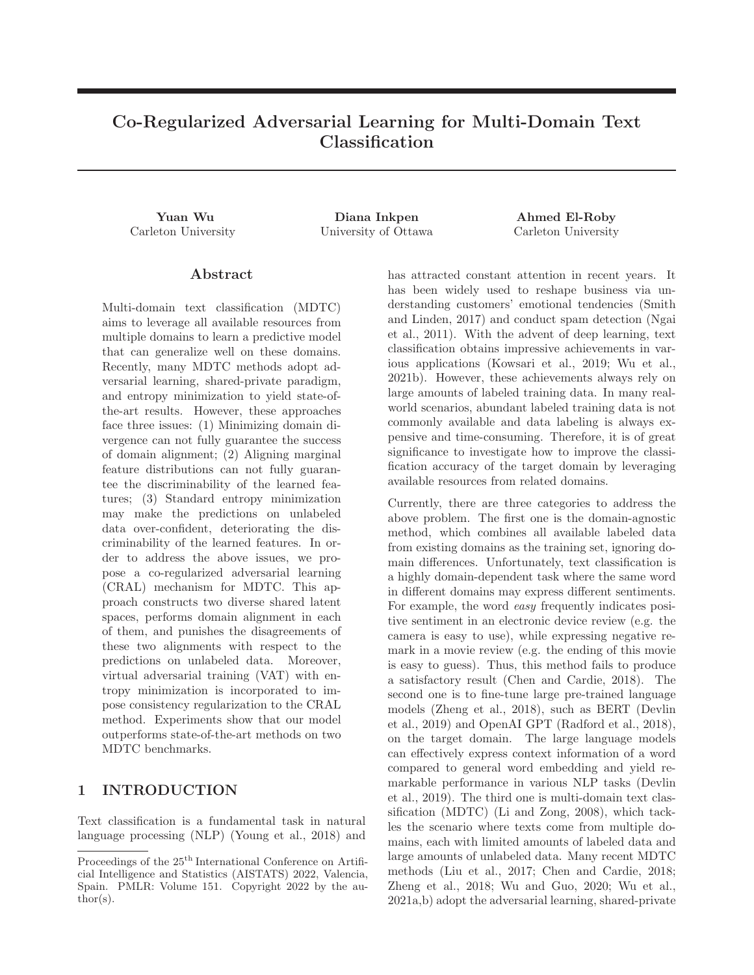# **Co-Regularized Adversarial Learning for Multi-Domain Text Classification**

**Yuan Wu Diana Inkpen Ahmed El-Roby** Carleton University University of Ottawa Carleton University

### **Abstract**

Multi-domain text classification (MDTC) aims to leverage all available resources from multiple domains to learn a predictive model that can generalize well on these domains. Recently, many MDTC methods adopt adversarial learning, shared-private paradigm, and entropy minimization to yield state-ofthe-art results. However, these approaches face three issues: (1) Minimizing domain divergence can not fully guarantee the success of domain alignment; (2) Aligning marginal feature distributions can not fully guarantee the discriminability of the learned features; (3) Standard entropy minimization may make the predictions on unlabeled data over-confident, deteriorating the discriminability of the learned features. In order to address the above issues, we propose a co-regularized adversarial learning (CRAL) mechanism for MDTC. This approach constructs two diverse shared latent spaces, performs domain alignment in each of them, and punishes the disagreements of these two alignments with respect to the predictions on unlabeled data. Moreover, virtual adversarial training (VAT) with entropy minimization is incorporated to impose consistency regularization to the CRAL method. Experiments show that our model outperforms state-of-the-art methods on two MDTC benchmarks.

# **1 INTRODUCTION**

Text classification is a fundamental task in natural language processing (NLP) (Young et al., 2018) and has attracted constant attention in recent years. It has been widely used to reshape business via understanding customers' emotional tendencies (Smith and Linden, 2017) and conduct spam detection (Ngai et al., 2011). With the advent of deep learning, text classification obtains impressive achievements in various applications (Kowsari et al., 2019; Wu et al., 2021b). However, these achievements always rely on large amounts of labeled training data. In many realworld scenarios, abundant labeled training data is not commonly available and data labeling is always expensive and time-consuming. Therefore, it is of great significance to investigate how to improve the classification accuracy of the target domain by leveraging available resources from related domains.

Currently, there are three categories to address the above problem. The first one is the domain-agnostic method, which combines all available labeled data from existing domains as the training set, ignoring domain differences. Unfortunately, text classification is a highly domain-dependent task where the same word in different domains may express different sentiments. For example, the word easy frequently indicates positive sentiment in an electronic device review (e.g. the camera is easy to use), while expressing negative remark in a movie review (e.g. the ending of this movie is easy to guess). Thus, this method fails to produce a satisfactory result (Chen and Cardie, 2018). The second one is to fine-tune large pre-trained language models (Zheng et al., 2018), such as BERT (Devlin et al., 2019) and OpenAI GPT (Radford et al., 2018), on the target domain. The large language models can effectively express context information of a word compared to general word embedding and yield remarkable performance in various NLP tasks (Devlin et al., 2019). The third one is multi-domain text classification (MDTC) (Li and Zong, 2008), which tackles the scenario where texts come from multiple domains, each with limited amounts of labeled data and large amounts of unlabeled data. Many recent MDTC methods (Liu et al., 2017; Chen and Cardie, 2018; Zheng et al., 2018; Wu and Guo, 2020; Wu et al., 2021a,b) adopt the adversarial learning, shared-private

Proceedings of the 25<sup>th</sup> International Conference on Artificial Intelligence and Statistics (AISTATS) 2022, Valencia, Spain. PMLR: Volume 151. Copyright 2022 by the author(s).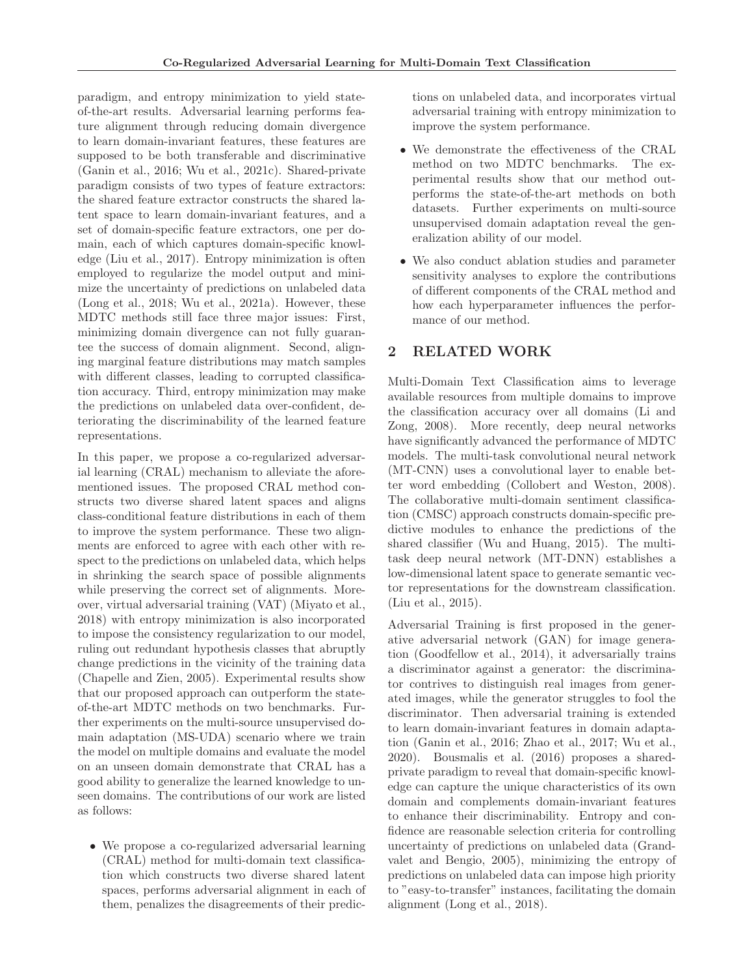paradigm, and entropy minimization to yield stateof-the-art results. Adversarial learning performs feature alignment through reducing domain divergence to learn domain-invariant features, these features are supposed to be both transferable and discriminative (Ganin et al., 2016; Wu et al., 2021c). Shared-private paradigm consists of two types of feature extractors: the shared feature extractor constructs the shared latent space to learn domain-invariant features, and a set of domain-specific feature extractors, one per domain, each of which captures domain-specific knowledge (Liu et al., 2017). Entropy minimization is often employed to regularize the model output and minimize the uncertainty of predictions on unlabeled data (Long et al., 2018; Wu et al., 2021a). However, these MDTC methods still face three major issues: First, minimizing domain divergence can not fully guarantee the success of domain alignment. Second, aligning marginal feature distributions may match samples with different classes, leading to corrupted classification accuracy. Third, entropy minimization may make the predictions on unlabeled data over-confident, deteriorating the discriminability of the learned feature representations.

In this paper, we propose a co-regularized adversarial learning (CRAL) mechanism to alleviate the aforementioned issues. The proposed CRAL method constructs two diverse shared latent spaces and aligns class-conditional feature distributions in each of them to improve the system performance. These two alignments are enforced to agree with each other with respect to the predictions on unlabeled data, which helps in shrinking the search space of possible alignments while preserving the correct set of alignments. Moreover, virtual adversarial training (VAT) (Miyato et al., 2018) with entropy minimization is also incorporated to impose the consistency regularization to our model, ruling out redundant hypothesis classes that abruptly change predictions in the vicinity of the training data (Chapelle and Zien, 2005). Experimental results show that our proposed approach can outperform the stateof-the-art MDTC methods on two benchmarks. Further experiments on the multi-source unsupervised domain adaptation (MS-UDA) scenario where we train the model on multiple domains and evaluate the model on an unseen domain demonstrate that CRAL has a good ability to generalize the learned knowledge to unseen domains. The contributions of our work are listed as follows:

• We propose a co-regularized adversarial learning (CRAL) method for multi-domain text classification which constructs two diverse shared latent spaces, performs adversarial alignment in each of them, penalizes the disagreements of their predictions on unlabeled data, and incorporates virtual adversarial training with entropy minimization to improve the system performance.

- We demonstrate the effectiveness of the CRAL method on two MDTC benchmarks. The experimental results show that our method outperforms the state-of-the-art methods on both datasets. Further experiments on multi-source unsupervised domain adaptation reveal the generalization ability of our model.
- We also conduct ablation studies and parameter sensitivity analyses to explore the contributions of different components of the CRAL method and how each hyperparameter influences the performance of our method.

# **2 RELATED WORK**

Multi-Domain Text Classification aims to leverage available resources from multiple domains to improve the classification accuracy over all domains (Li and Zong, 2008). More recently, deep neural networks have significantly advanced the performance of MDTC models. The multi-task convolutional neural network (MT-CNN) uses a convolutional layer to enable better word embedding (Collobert and Weston, 2008). The collaborative multi-domain sentiment classification (CMSC) approach constructs domain-specific predictive modules to enhance the predictions of the shared classifier (Wu and Huang, 2015). The multitask deep neural network (MT-DNN) establishes a low-dimensional latent space to generate semantic vector representations for the downstream classification. (Liu et al., 2015).

Adversarial Training is first proposed in the generative adversarial network (GAN) for image generation (Goodfellow et al., 2014), it adversarially trains a discriminator against a generator: the discriminator contrives to distinguish real images from generated images, while the generator struggles to fool the discriminator. Then adversarial training is extended to learn domain-invariant features in domain adaptation (Ganin et al., 2016; Zhao et al., 2017; Wu et al., 2020). Bousmalis et al. (2016) proposes a sharedprivate paradigm to reveal that domain-specific knowledge can capture the unique characteristics of its own domain and complements domain-invariant features to enhance their discriminability. Entropy and confidence are reasonable selection criteria for controlling uncertainty of predictions on unlabeled data (Grandvalet and Bengio, 2005), minimizing the entropy of predictions on unlabeled data can impose high priority to "easy-to-transfer" instances, facilitating the domain alignment (Long et al., 2018).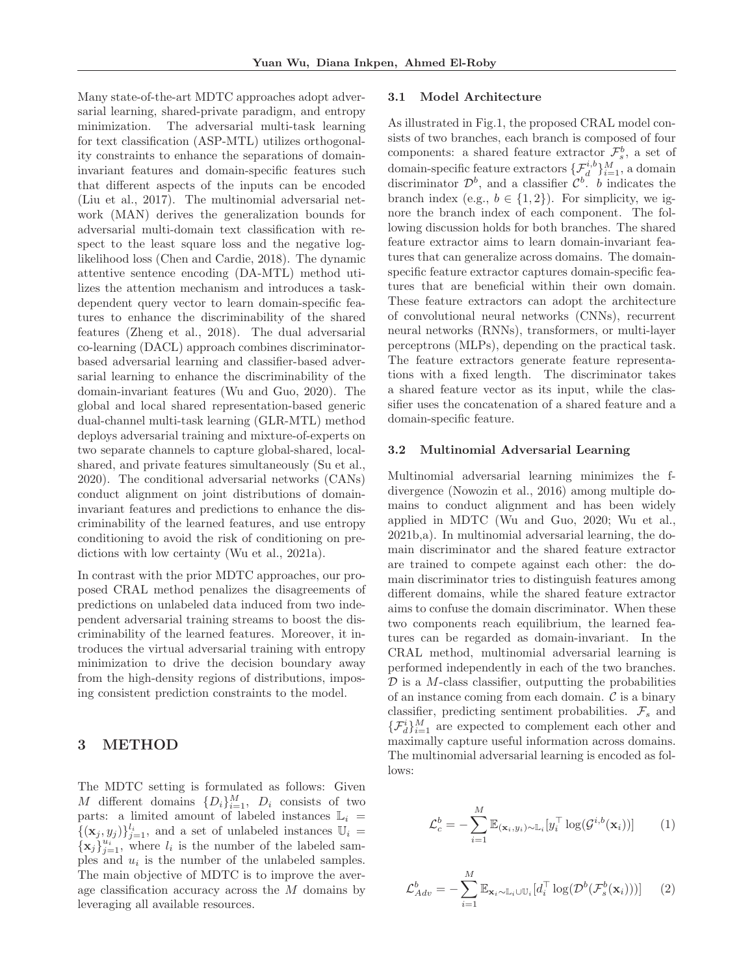Many state-of-the-art MDTC approaches adopt adversarial learning, shared-private paradigm, and entropy minimization. The adversarial multi-task learning for text classification (ASP-MTL) utilizes orthogonality constraints to enhance the separations of domaininvariant features and domain-specific features such that different aspects of the inputs can be encoded (Liu et al., 2017). The multinomial adversarial network (MAN) derives the generalization bounds for adversarial multi-domain text classification with respect to the least square loss and the negative loglikelihood loss (Chen and Cardie, 2018). The dynamic attentive sentence encoding (DA-MTL) method utilizes the attention mechanism and introduces a taskdependent query vector to learn domain-specific features to enhance the discriminability of the shared features (Zheng et al., 2018). The dual adversarial co-learning (DACL) approach combines discriminatorbased adversarial learning and classifier-based adversarial learning to enhance the discriminability of the domain-invariant features (Wu and Guo, 2020). The global and local shared representation-based generic dual-channel multi-task learning (GLR-MTL) method deploys adversarial training and mixture-of-experts on two separate channels to capture global-shared, localshared, and private features simultaneously (Su et al., 2020). The conditional adversarial networks (CANs) conduct alignment on joint distributions of domaininvariant features and predictions to enhance the discriminability of the learned features, and use entropy conditioning to avoid the risk of conditioning on predictions with low certainty (Wu et al., 2021a).

In contrast with the prior MDTC approaches, our proposed CRAL method penalizes the disagreements of predictions on unlabeled data induced from two independent adversarial training streams to boost the discriminability of the learned features. Moreover, it introduces the virtual adversarial training with entropy minimization to drive the decision boundary away from the high-density regions of distributions, imposing consistent prediction constraints to the model.

## **3 METHOD**

The MDTC setting is formulated as follows: Given M different domains  $\{D_i\}_{i=1}^M$ ,  $D_i$  consists of two parts: a limited amount of labeled instances  $\mathbb{L}_i$  =  $\{(\mathbf{x}_j, y_j)\}_{j=1}^{l_i}$ , and a set of unlabeled instances  $\mathbb{U}_i =$  ${\bf x}_j \}_{j=1}^{u_j}$ , where  $l_i$  is the number of the labeled samples and  $u_i$  is the number of the unlabeled samples. The main objective of MDTC is to improve the average classification accuracy across the M domains by leveraging all available resources.

#### **3.1 Model Architecture**

As illustrated in Fig.1, the proposed CRAL model consists of two branches, each branch is composed of four components: a shared feature extractor  $\mathcal{F}_s^b$ , a set of domain-specific feature extractors  $\{\mathcal{F}_{d}^{i,b}\}_{i=1}^{M}$ , a domain discriminator  $\mathcal{D}^b$ , and a classifier  $\mathcal{C}^b$ . b indicates the branch index (e.g.,  $b \in \{1,2\}$ ). For simplicity, we ignore the branch index of each component. The following discussion holds for both branches. The shared feature extractor aims to learn domain-invariant features that can generalize across domains. The domainspecific feature extractor captures domain-specific features that are beneficial within their own domain. These feature extractors can adopt the architecture of convolutional neural networks (CNNs), recurrent neural networks (RNNs), transformers, or multi-layer perceptrons (MLPs), depending on the practical task. The feature extractors generate feature representations with a fixed length. The discriminator takes a shared feature vector as its input, while the classifier uses the concatenation of a shared feature and a domain-specific feature.

#### **3.2 Multinomial Adversarial Learning**

Multinomial adversarial learning minimizes the fdivergence (Nowozin et al., 2016) among multiple domains to conduct alignment and has been widely applied in MDTC (Wu and Guo, 2020; Wu et al., 2021b,a). In multinomial adversarial learning, the domain discriminator and the shared feature extractor are trained to compete against each other: the domain discriminator tries to distinguish features among different domains, while the shared feature extractor aims to confuse the domain discriminator. When these two components reach equilibrium, the learned features can be regarded as domain-invariant. In the CRAL method, multinomial adversarial learning is performed independently in each of the two branches.  $\mathcal D$  is a M-class classifier, outputting the probabilities of an instance coming from each domain.  $\mathcal C$  is a binary classifier, predicting sentiment probabilities.  $\mathcal{F}_s$  and  $\{\mathcal{F}_{d}^{i}\}_{i=1}^{M}$  are expected to complement each other and maximally capture useful information across domains. The multinomial adversarial learning is encoded as follows:

$$
\mathcal{L}_c^b = -\sum_{i=1}^M \mathbb{E}_{(\mathbf{x}_i, y_i) \sim \mathbb{L}_i} [y_i^\top \log(\mathcal{G}^{i,b}(\mathbf{x}_i))]
$$
(1)

$$
\mathcal{L}_{Adv}^{b} = -\sum_{i=1}^{M} \mathbb{E}_{\mathbf{x}_{i} \sim \mathbb{L}_{i} \cup \mathbb{U}_{i}} [d_{i}^{\top} \log(\mathcal{D}^{b}(\mathcal{F}_{s}^{b}(\mathbf{x}_{i})))]
$$
(2)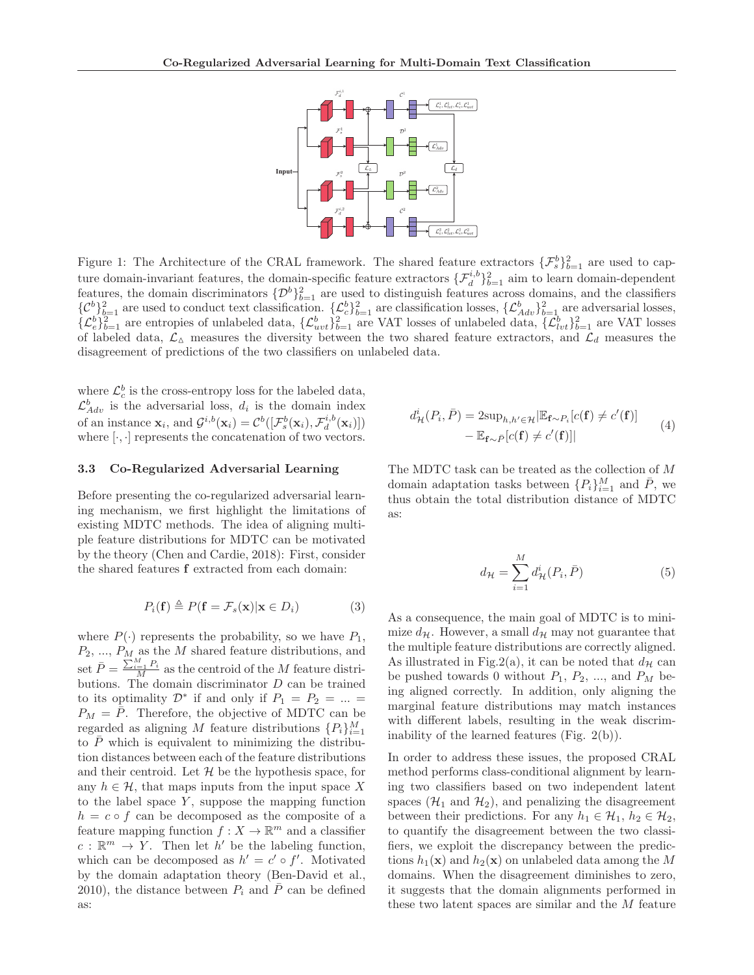

Figure 1: The Architecture of the CRAL framework. The shared feature extractors  $\{\mathcal{F}_{s}^{b}\}_{b=1}^{2}$  are used to capture domain-invariant features, the domain-specific feature extractors  $\{\mathcal{F}_d^{i,b}\}_{b=1}^2$  aim to learn domain-dependent features, the domain discriminators  $\{\mathcal{D}^b\}_{b=1}^2$  are used to distinguish features across domains, and the classifiers  ${C_b^b}_{b=1}^2$  are used to conduct text classification.  ${L_c^b}_{b=1}^2$  are classification losses,  ${L_{Adv}^b}_{b=1}^2$  are adversarial losses,  $\{\mathcal{L}_{e}^{b}\}_{b=1}^{2}$  are entropies of unlabeled data,  $\{\mathcal{L}_{uvt}^{b}\}_{b=1}^{2}$  are VAT losses of unlabeled data,  $\{\mathcal{L}_{lvt}^{b}\}_{b=1}^{2}$  are VAT losses of labeled data,  $\mathcal{L}_{\Delta}$  measures the diversity between the two shared feature extractors, and  $\mathcal{L}_{d}$  measures the disagreement of predictions of the two classifiers on unlabeled data.

where  $\mathcal{L}_c^b$  is the cross-entropy loss for the labeled data,  $\mathcal{L}_{Adv}^{b}$  is the adversarial loss,  $d_i$  is the domain index of an instance  $\mathbf{x}_i$ , and  $\mathcal{G}^{i,b}(\mathbf{x}_i) = \mathcal{C}^b([\mathcal{F}_s^b(\mathbf{x}_i), \mathcal{F}_d^{i,b}(\mathbf{x}_i)])$ where  $[\cdot, \cdot]$  represents the concatenation of two vectors.

#### **3.3 Co-Regularized Adversarial Learning**

Before presenting the co-regularized adversarial learning mechanism, we first highlight the limitations of existing MDTC methods. The idea of aligning multiple feature distributions for MDTC can be motivated by the theory (Chen and Cardie, 2018): First, consider the shared features **f** extracted from each domain:

$$
P_i(\mathbf{f}) \triangleq P(\mathbf{f} = \mathcal{F}_s(\mathbf{x}) | \mathbf{x} \in D_i)
$$
 (3)

where  $P(\cdot)$  represents the probability, so we have  $P_1$ ,  $P_2, ..., P_M$  as the M shared feature distributions, and set  $\bar{P} = \frac{\sum_{i=1}^{M} P_i}{M}$  as the centroid of the M feature distributions. The domain discriminator  $D$  can be trained to its optimality  $\mathcal{D}^*$  if and only if  $P_1 = P_2 = ... =$  $P_M = \overline{P}$ . Therefore, the objective of MDTC can be regarded as aligning M feature distributions  $\{P_i\}_{i=1}^M$ to  $\overline{P}$  which is equivalent to minimizing the distribution distances between each of the feature distributions and their centroid. Let  $\mathcal H$  be the hypothesis space, for any  $h \in \mathcal{H}$ , that maps inputs from the input space X to the label space  $Y$ , suppose the mapping function  $h = c \circ f$  can be decomposed as the composite of a feature mapping function  $f: X \to \mathbb{R}^m$  and a classifier  $c : \mathbb{R}^m \to Y$ . Then let h' be the labeling function, which can be decomposed as  $h' = c' \circ f'$ . Motivated by the domain adaptation theory (Ben-David et al., 2010), the distance between  $P_i$  and  $\overline{P}$  can be defined as:

$$
d_{\mathcal{H}}^{i}(P_{i}, \bar{P}) = 2 \sup_{h, h' \in \mathcal{H}} |\mathbb{E}_{\mathbf{f} \sim P_{i}}[c(\mathbf{f}) \neq c'(\mathbf{f})] - \mathbb{E}_{\mathbf{f} \sim \bar{P}}[c(\mathbf{f}) \neq c'(\mathbf{f})]| \tag{4}
$$

The MDTC task can be treated as the collection of M domain adaptation tasks between  $\{P_i\}_{i=1}^M$  and  $\overline{P}$ , we thus obtain the total distribution distance of MDTC as:

$$
d_{\mathcal{H}} = \sum_{i=1}^{M} d_{\mathcal{H}}^{i}(P_i, \bar{P})
$$
\n(5)

As a consequence, the main goal of MDTC is to minimize  $d_{\mathcal{H}}$ . However, a small  $d_{\mathcal{H}}$  may not guarantee that the multiple feature distributions are correctly aligned. As illustrated in Fig.2(a), it can be noted that  $d_{\mathcal{H}}$  can be pushed towards 0 without  $P_1, P_2, ...,$  and  $P_M$  being aligned correctly. In addition, only aligning the marginal feature distributions may match instances with different labels, resulting in the weak discriminability of the learned features (Fig. 2(b)).

In order to address these issues, the proposed CRAL method performs class-conditional alignment by learning two classifiers based on two independent latent spaces  $(\mathcal{H}_1$  and  $\mathcal{H}_2$ , and penalizing the disagreement between their predictions. For any  $h_1 \in \mathcal{H}_1$ ,  $h_2 \in \mathcal{H}_2$ , to quantify the disagreement between the two classifiers, we exploit the discrepancy between the predictions  $h_1(\mathbf{x})$  and  $h_2(\mathbf{x})$  on unlabeled data among the M domains. When the disagreement diminishes to zero, it suggests that the domain alignments performed in these two latent spaces are similar and the M feature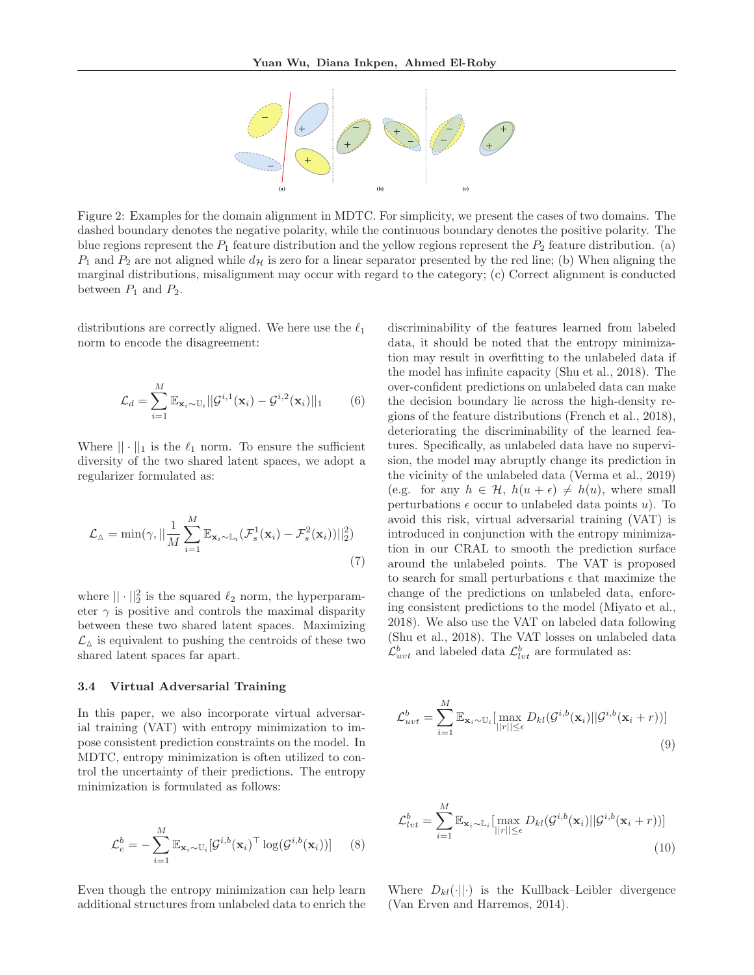

Figure 2: Examples for the domain alignment in MDTC. For simplicity, we present the cases of two domains. The dashed boundary denotes the negative polarity, while the continuous boundary denotes the positive polarity. The blue regions represent the  $P_1$  feature distribution and the yellow regions represent the  $P_2$  feature distribution. (a)  $P_1$  and  $P_2$  are not aligned while  $d_{\mathcal{H}}$  is zero for a linear separator presented by the red line; (b) When aligning the marginal distributions, misalignment may occur with regard to the category; (c) Correct alignment is conducted between  $P_1$  and  $P_2$ .

distributions are correctly aligned. We here use the  $\ell_1$ norm to encode the disagreement:

$$
\mathcal{L}_d = \sum_{i=1}^M \mathbb{E}_{\mathbf{x}_i \sim \mathbb{U}_i} ||\mathcal{G}^{i,1}(\mathbf{x}_i) - \mathcal{G}^{i,2}(\mathbf{x}_i)||_1 \qquad (6)
$$

Where  $|| \cdot ||_1$  is the  $\ell_1$  norm. To ensure the sufficient diversity of the two shared latent spaces, we adopt a regularizer formulated as:

$$
\mathcal{L}_{\Delta} = \min(\gamma, ||\frac{1}{M} \sum_{i=1}^{M} \mathbb{E}_{\mathbf{x}_i \sim \mathbb{L}_i} (\mathcal{F}_s^1(\mathbf{x}_i) - \mathcal{F}_s^2(\mathbf{x}_i))||_2^2)
$$
\n(7)

where  $|| \cdot ||_2^2$  is the squared  $\ell_2$  norm, the hyperparameter  $\gamma$  is positive and controls the maximal disparity between these two shared latent spaces. Maximizing  $\mathcal{L}_{\boldsymbol{\Delta}}$  is equivalent to pushing the centroids of these two shared latent spaces far apart.

### **3.4 Virtual Adversarial Training**

In this paper, we also incorporate virtual adversarial training (VAT) with entropy minimization to impose consistent prediction constraints on the model. In MDTC, entropy minimization is often utilized to control the uncertainty of their predictions. The entropy minimization is formulated as follows:

$$
\mathcal{L}_e^b = -\sum_{i=1}^M \mathbb{E}_{\mathbf{x}_i \sim \mathbb{U}_i} [\mathcal{G}^{i,b}(\mathbf{x}_i)^\top \log(\mathcal{G}^{i,b}(\mathbf{x}_i))]
$$
(8)

Even though the entropy minimization can help learn additional structures from unlabeled data to enrich the discriminability of the features learned from labeled data, it should be noted that the entropy minimization may result in overfitting to the unlabeled data if the model has infinite capacity (Shu et al., 2018). The over-confident predictions on unlabeled data can make the decision boundary lie across the high-density regions of the feature distributions (French et al., 2018), deteriorating the discriminability of the learned features. Specifically, as unlabeled data have no supervision, the model may abruptly change its prediction in the vicinity of the unlabeled data (Verma et al., 2019) (e.g. for any  $h \in \mathcal{H}$ ,  $h(u + \epsilon) \neq h(u)$ , where small perturbations  $\epsilon$  occur to unlabeled data points u). To avoid this risk, virtual adversarial training (VAT) is introduced in conjunction with the entropy minimization in our CRAL to smooth the prediction surface around the unlabeled points. The VAT is proposed to search for small perturbations  $\epsilon$  that maximize the change of the predictions on unlabeled data, enforcing consistent predictions to the model (Miyato et al., 2018). We also use the VAT on labeled data following (Shu et al., 2018). The VAT losses on unlabeled data  $\mathcal{L}_{uvt}^b$  and labeled data  $\mathcal{L}_{lvt}^b$  are formulated as:

$$
\mathcal{L}_{uvt}^b = \sum_{i=1}^M \mathbb{E}_{\mathbf{x}_i \sim \mathbb{U}_i} \left[ \max_{||r|| \le \epsilon} D_{kl}(\mathcal{G}^{i,b}(\mathbf{x}_i) || \mathcal{G}^{i,b}(\mathbf{x}_i + r)) \right]
$$
\n(9)

$$
\mathcal{L}_{lvt}^{b} = \sum_{i=1}^{M} \mathbb{E}_{\mathbf{x}_i \sim \mathbb{L}_i} \left[ \max_{||r|| \le \epsilon} D_{kl}(\mathcal{G}^{i,b}(\mathbf{x}_i) || \mathcal{G}^{i,b}(\mathbf{x}_i + r)) \right]
$$
\n(10)

Where  $D_{kl}(\cdot||\cdot)$  is the Kullback–Leibler divergence (Van Erven and Harremos, 2014).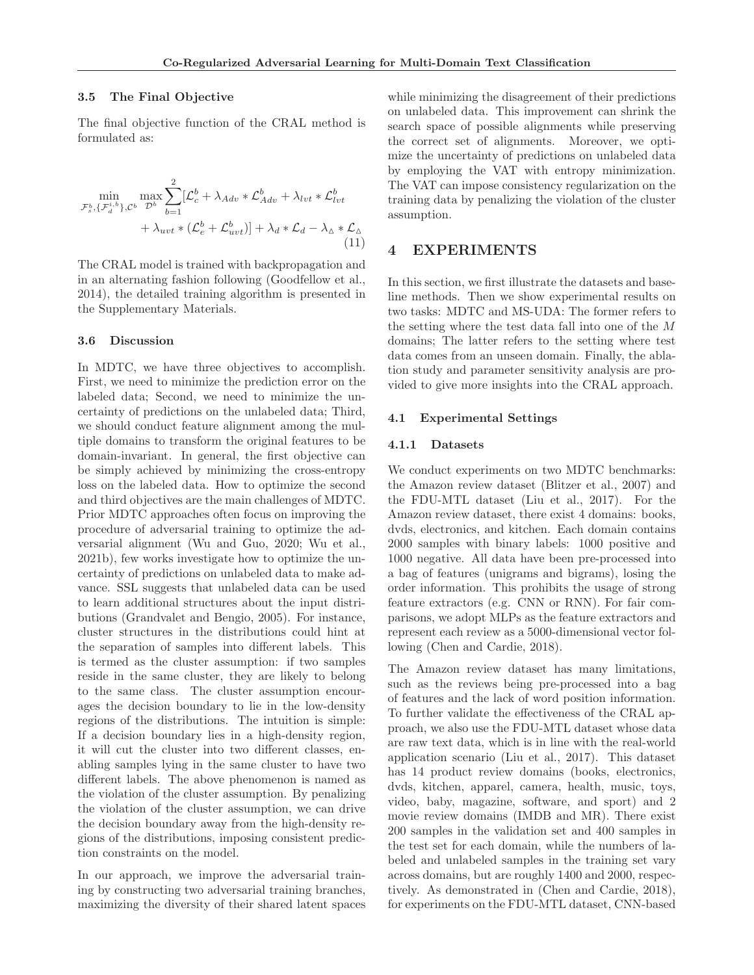### **3.5 The Final Objective**

The final objective function of the CRAL method is formulated as:

$$
\min_{\mathcal{F}_s^b, \{\mathcal{F}_d^{i,b}\}, \mathcal{C}^b} \max_{\mathcal{D}^b} \sum_{b=1}^2 [\mathcal{L}_c^b + \lambda_{Adv} * \mathcal{L}_{Adv}^b + \lambda_{lvt} * \mathcal{L}_{lvt}^b + \lambda_{uvt} * (\mathcal{L}_e^b + \mathcal{L}_{uvt}^b)] + \lambda_d * \mathcal{L}_d - \lambda_{\Delta} * \mathcal{L}_{\Delta}
$$
\n(11)

The CRAL model is trained with backpropagation and in an alternating fashion following (Goodfellow et al., 2014), the detailed training algorithm is presented in the Supplementary Materials.

#### **3.6 Discussion**

In MDTC, we have three objectives to accomplish. First, we need to minimize the prediction error on the labeled data; Second, we need to minimize the uncertainty of predictions on the unlabeled data; Third, we should conduct feature alignment among the multiple domains to transform the original features to be domain-invariant. In general, the first objective can be simply achieved by minimizing the cross-entropy loss on the labeled data. How to optimize the second and third objectives are the main challenges of MDTC. Prior MDTC approaches often focus on improving the procedure of adversarial training to optimize the adversarial alignment (Wu and Guo, 2020; Wu et al., 2021b), few works investigate how to optimize the uncertainty of predictions on unlabeled data to make advance. SSL suggests that unlabeled data can be used to learn additional structures about the input distributions (Grandvalet and Bengio, 2005). For instance, cluster structures in the distributions could hint at the separation of samples into different labels. This is termed as the cluster assumption: if two samples reside in the same cluster, they are likely to belong to the same class. The cluster assumption encourages the decision boundary to lie in the low-density regions of the distributions. The intuition is simple: If a decision boundary lies in a high-density region, it will cut the cluster into two different classes, enabling samples lying in the same cluster to have two different labels. The above phenomenon is named as the violation of the cluster assumption. By penalizing the violation of the cluster assumption, we can drive the decision boundary away from the high-density regions of the distributions, imposing consistent prediction constraints on the model.

In our approach, we improve the adversarial training by constructing two adversarial training branches, maximizing the diversity of their shared latent spaces while minimizing the disagreement of their predictions on unlabeled data. This improvement can shrink the search space of possible alignments while preserving the correct set of alignments. Moreover, we optimize the uncertainty of predictions on unlabeled data by employing the VAT with entropy minimization. The VAT can impose consistency regularization on the training data by penalizing the violation of the cluster assumption.

### **4 EXPERIMENTS**

In this section, we first illustrate the datasets and baseline methods. Then we show experimental results on two tasks: MDTC and MS-UDA: The former refers to the setting where the test data fall into one of the M domains; The latter refers to the setting where test data comes from an unseen domain. Finally, the ablation study and parameter sensitivity analysis are provided to give more insights into the CRAL approach.

### **4.1 Experimental Settings**

### **4.1.1 Datasets**

We conduct experiments on two MDTC benchmarks: the Amazon review dataset (Blitzer et al., 2007) and the FDU-MTL dataset (Liu et al., 2017). For the Amazon review dataset, there exist 4 domains: books, dvds, electronics, and kitchen. Each domain contains 2000 samples with binary labels: 1000 positive and 1000 negative. All data have been pre-processed into a bag of features (unigrams and bigrams), losing the order information. This prohibits the usage of strong feature extractors (e.g. CNN or RNN). For fair comparisons, we adopt MLPs as the feature extractors and represent each review as a 5000-dimensional vector following (Chen and Cardie, 2018).

The Amazon review dataset has many limitations, such as the reviews being pre-processed into a bag of features and the lack of word position information. To further validate the effectiveness of the CRAL approach, we also use the FDU-MTL dataset whose data are raw text data, which is in line with the real-world application scenario (Liu et al., 2017). This dataset has 14 product review domains (books, electronics, dvds, kitchen, apparel, camera, health, music, toys, video, baby, magazine, software, and sport) and 2 movie review domains (IMDB and MR). There exist 200 samples in the validation set and 400 samples in the test set for each domain, while the numbers of labeled and unlabeled samples in the training set vary across domains, but are roughly 1400 and 2000, respectively. As demonstrated in (Chen and Cardie, 2018), for experiments on the FDU-MTL dataset, CNN-based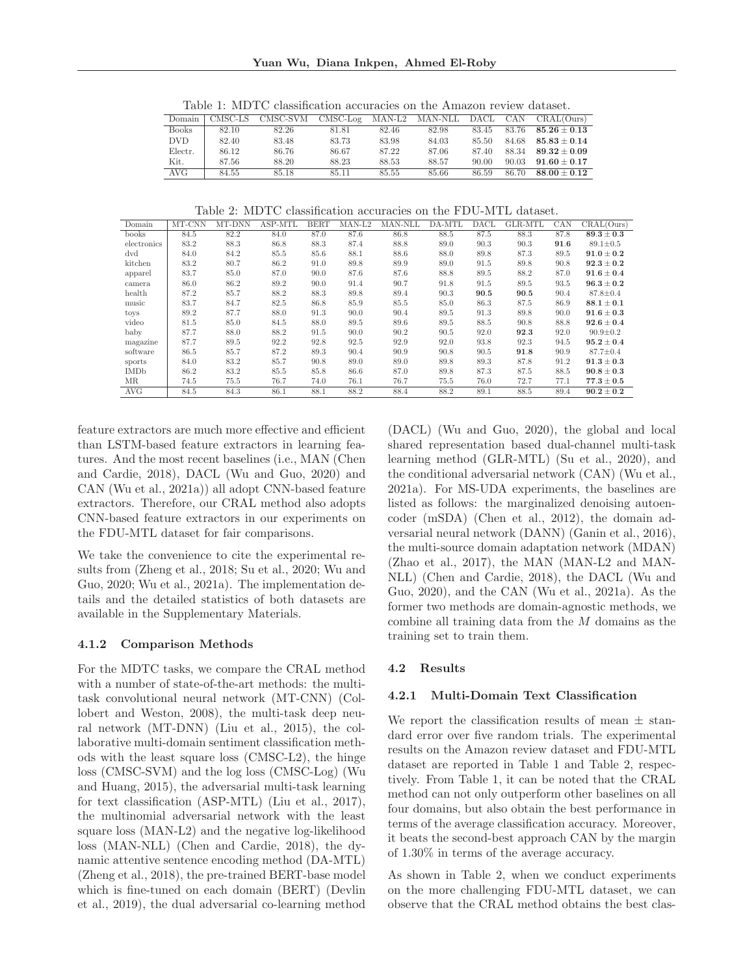| Domain       | CMSC-LS | CMSC-SVM | $CMSC-Log$ | MAN-L2 | MAN-NLL | DACL  |       | CAN CRAL(Ours)   |
|--------------|---------|----------|------------|--------|---------|-------|-------|------------------|
| <b>Books</b> | 82.10   | 82.26    | 81.81      | 82.46  | 82.98   | 83.45 | 83.76 | $85.26 \pm 0.13$ |
| DVD.         | 82.40   | 83.48    | 83.73      | 83.98  | 84.03   | 85.50 | 84.68 | $85.83 + 0.14$   |
| Electr.      | 86.12   | 86.76    | 86.67      | 87.22  | 87.06   | 87.40 | 88.34 | $89.32 + 0.09$   |
| Kit.         | 87.56   | 88.20    | 88.23      | 88.53  | 88.57   | 90.00 | 90.03 | $91.60 + 0.17$   |
| AVG          | 84.55   | 85.18    | 85.11      | 85.55  | 85.66   | 86.59 | 86.70 | $88.00 + 0.12$   |
|              |         |          |            |        |         |       |       |                  |

Table 1: MDTC classification accuracies on the Amazon review dataset.

Table 2: MDTC classification accuracies on the FDU-MTL dataset.

| Domain      | MT-CNN | MT-DNN | ASP-MTL | <b>BERT</b> | $MAN-L2$ | MAN-NLL | DA-MTL | DACL | GLR-MTL | CAN  | CRAL(Ours)     |
|-------------|--------|--------|---------|-------------|----------|---------|--------|------|---------|------|----------------|
| books       | 84.5   | 82.2   | 84.0    | 87.0        | 87.6     | 86.8    | 88.5   | 87.5 | 88.3    | 87.8 | $89.3 \pm 0.3$ |
| electronics | 83.2   | 88.3   | 86.8    | 88.3        | 87.4     | 88.8    | 89.0   | 90.3 | 90.3    | 91.6 | $89.1 \pm 0.5$ |
| dvd         | 84.0   | 84.2   | 85.5    | 85.6        | 88.1     | 88.6    | 88.0   | 89.8 | 87.3    | 89.5 | $91.0 \pm 0.2$ |
| kitchen     | 83.2   | 80.7   | 86.2    | 91.0        | 89.8     | 89.9    | 89.0   | 91.5 | 89.8    | 90.8 | $92.3 \pm 0.2$ |
| apparel     | 83.7   | 85.0   | 87.0    | 90.0        | 87.6     | 87.6    | 88.8   | 89.5 | 88.2    | 87.0 | $91.6 \pm 0.4$ |
| camera      | 86.0   | 86.2   | 89.2    | 90.0        | 91.4     | 90.7    | 91.8   | 91.5 | 89.5    | 93.5 | $96.3 \pm 0.2$ |
| health      | 87.2   | 85.7   | 88.2    | 88.3        | 89.8     | 89.4    | 90.3   | 90.5 | 90.5    | 90.4 | $87.8 \pm 0.4$ |
| music       | 83.7   | 84.7   | 82.5    | 86.8        | 85.9     | 85.5    | 85.0   | 86.3 | 87.5    | 86.9 | $88.1 \pm 0.1$ |
| toys        | 89.2   | 87.7   | 88.0    | 91.3        | 90.0     | 90.4    | 89.5   | 91.3 | 89.8    | 90.0 | $91.6 \pm 0.3$ |
| video       | 81.5   | 85.0   | 84.5    | 88.0        | 89.5     | 89.6    | 89.5   | 88.5 | 90.8    | 88.8 | $92.6 \pm 0.4$ |
| baby        | 87.7   | 88.0   | 88.2    | 91.5        | 90.0     | 90.2    | 90.5   | 92.0 | 92.3    | 92.0 | $90.9 \pm 0.2$ |
| magazine    | 87.7   | 89.5   | 92.2    | 92.8        | 92.5     | 92.9    | 92.0   | 93.8 | 92.3    | 94.5 | $95.2 \pm 0.4$ |
| software    | 86.5   | 85.7   | 87.2    | 89.3        | 90.4     | 90.9    | 90.8   | 90.5 | 91.8    | 90.9 | $87.7 \pm 0.4$ |
| sports      | 84.0   | 83.2   | 85.7    | 90.8        | 89.0     | 89.0    | 89.8   | 89.3 | 87.8    | 91.2 | $91.3 \pm 0.3$ |
| <b>IMDb</b> | 86.2   | 83.2   | 85.5    | 85.8        | 86.6     | 87.0    | 89.8   | 87.3 | 87.5    | 88.5 | $90.8 \pm 0.3$ |
| MR.         | 74.5   | 75.5   | 76.7    | 74.0        | 76.1     | 76.7    | 75.5   | 76.0 | 72.7    | 77.1 | $77.3 \pm 0.5$ |
| AVG         | 84.5   | 84.3   | 86.1    | 88.1        | 88.2     | 88.4    | 88.2   | 89.1 | 88.5    | 89.4 | $90.2 \pm 0.2$ |

feature extractors are much more effective and efficient than LSTM-based feature extractors in learning features. And the most recent baselines (i.e., MAN (Chen and Cardie, 2018), DACL (Wu and Guo, 2020) and CAN (Wu et al., 2021a)) all adopt CNN-based feature extractors. Therefore, our CRAL method also adopts CNN-based feature extractors in our experiments on the FDU-MTL dataset for fair comparisons.

We take the convenience to cite the experimental results from (Zheng et al., 2018; Su et al., 2020; Wu and Guo, 2020; Wu et al., 2021a). The implementation details and the detailed statistics of both datasets are available in the Supplementary Materials.

### **4.1.2 Comparison Methods**

For the MDTC tasks, we compare the CRAL method with a number of state-of-the-art methods: the multitask convolutional neural network (MT-CNN) (Collobert and Weston, 2008), the multi-task deep neural network (MT-DNN) (Liu et al., 2015), the collaborative multi-domain sentiment classification methods with the least square loss (CMSC-L2), the hinge loss (CMSC-SVM) and the log loss (CMSC-Log) (Wu and Huang, 2015), the adversarial multi-task learning for text classification (ASP-MTL) (Liu et al., 2017), the multinomial adversarial network with the least square loss (MAN-L2) and the negative log-likelihood loss (MAN-NLL) (Chen and Cardie, 2018), the dynamic attentive sentence encoding method (DA-MTL) (Zheng et al., 2018), the pre-trained BERT-base model which is fine-tuned on each domain (BERT) (Devlin et al., 2019), the dual adversarial co-learning method

(DACL) (Wu and Guo, 2020), the global and local shared representation based dual-channel multi-task learning method (GLR-MTL) (Su et al., 2020), and the conditional adversarial network (CAN) (Wu et al., 2021a). For MS-UDA experiments, the baselines are listed as follows: the marginalized denoising autoencoder (mSDA) (Chen et al., 2012), the domain adversarial neural network (DANN) (Ganin et al., 2016), the multi-source domain adaptation network (MDAN) (Zhao et al., 2017), the MAN (MAN-L2 and MAN-NLL) (Chen and Cardie, 2018), the DACL (Wu and Guo, 2020), and the CAN (Wu et al., 2021a). As the former two methods are domain-agnostic methods, we combine all training data from the  $M$  domains as the training set to train them.

#### **4.2 Results**

#### **4.2.1 Multi-Domain Text Classification**

We report the classification results of mean  $\pm$  standard error over five random trials. The experimental results on the Amazon review dataset and FDU-MTL dataset are reported in Table 1 and Table 2, respectively. From Table 1, it can be noted that the CRAL method can not only outperform other baselines on all four domains, but also obtain the best performance in terms of the average classification accuracy. Moreover, it beats the second-best approach CAN by the margin of 1.30% in terms of the average accuracy.

As shown in Table 2, when we conduct experiments on the more challenging FDU-MTL dataset, we can observe that the CRAL method obtains the best clas-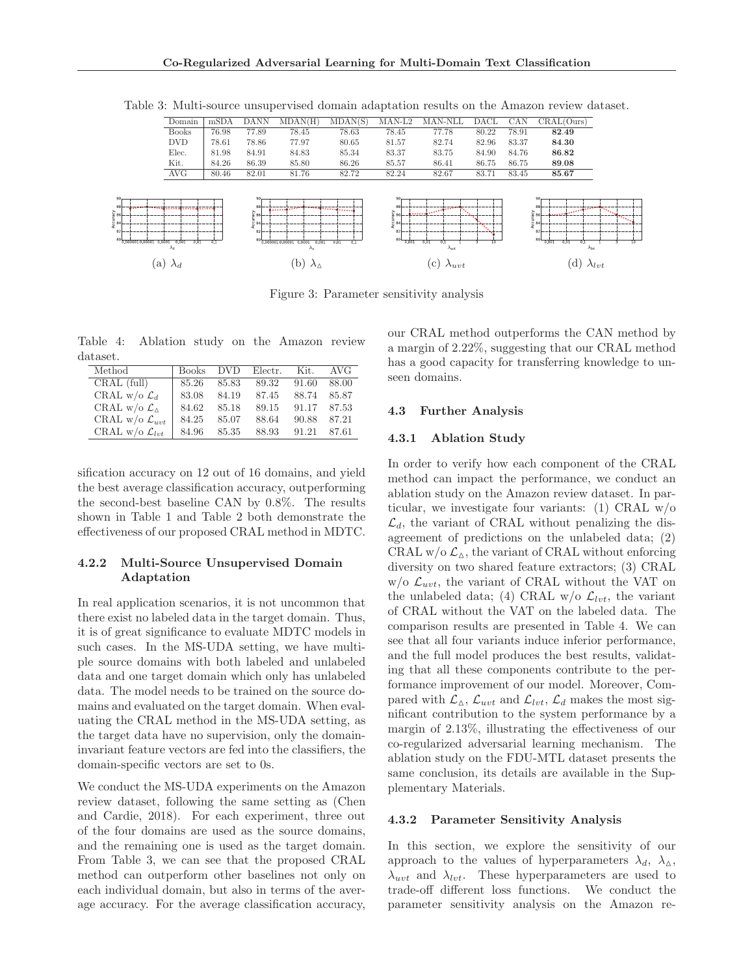|                                                                                                 | Domain                       | mSDA  | <b>DANN</b>                                     | MDAN(H)                                               | MDAN(S)                                 | $MAN-L2$                                                                            | MAN-NLL                                                      | DACL  | CAN   | CRAL(Ours)                                                                                                                                           |                 |
|-------------------------------------------------------------------------------------------------|------------------------------|-------|-------------------------------------------------|-------------------------------------------------------|-----------------------------------------|-------------------------------------------------------------------------------------|--------------------------------------------------------------|-------|-------|------------------------------------------------------------------------------------------------------------------------------------------------------|-----------------|
|                                                                                                 | <b>Books</b>                 | 76.98 | 77.89                                           | 78.45                                                 | 78.63                                   | 78.45                                                                               | 77.78                                                        | 80.22 | 78.91 | 82.49                                                                                                                                                |                 |
|                                                                                                 | <b>DVD</b>                   | 78.61 | 78.86                                           | 77.97                                                 | 80.65                                   | 81.57                                                                               | 82.74                                                        | 82.96 | 83.37 | 84.30                                                                                                                                                |                 |
|                                                                                                 | Elec.                        | 81.98 | 84.91                                           | 84.83                                                 | 85.34                                   | 83.37                                                                               | 83.75                                                        | 84.90 | 84.76 | 86.82                                                                                                                                                |                 |
|                                                                                                 | Kit.                         | 84.26 | 86.39                                           | 85.80                                                 | 86.26                                   | 85.57                                                                               | 86.41                                                        | 86.75 | 86.75 | 89.08                                                                                                                                                |                 |
|                                                                                                 | AVG                          | 80.46 | 82.01                                           | 81.76                                                 | 82.72                                   | 82.24                                                                               | 82.67                                                        | 83.71 | 83.45 | 85.67                                                                                                                                                |                 |
| 90,<br>$88$ .<br>ွဲ <sub>86</sub>  <br>{ 84)<br>82<br>80 <sup>L</sup><br>0.0000010.00001 0.0001 | 0.001<br>0.01<br>$\lambda_d$ | 0.1   | 90<br>88<br>$\frac{2}{8}$ 86<br>584<br>82<br>80 | 0.0000010.00001 0.0001<br>0,001<br>$\lambda_{\Delta}$ | <b>The Second County</b><br>0.01<br>0.1 | 90,<br>88<br>$\frac{5}{2}$ 86<br>$\frac{5}{6}$ 84<br>82<br>80 <sup>L</sup><br>0.001 | <b>CONTRACTOR</b><br><br>0.01<br>0.1<br>$\lambda_{\rm{att}}$ | 10    |       | 90 <sub>1</sub><br>88<br><b>CALIFORNIA</b><br>နဲ့ 86<br>$\overline{\xi}$ 84<br>82<br>80 <sup>L</sup><br>0.01<br>0.1<br>0.001<br>$\lambda_{\rm{let}}$ | 10              |
| a)                                                                                              | $\lambda_d$                  |       |                                                 | b'                                                    |                                         |                                                                                     | $\lfloor c \rfloor$<br>$\lambda_{uvt}$                       |       |       | <sub>d</sub>                                                                                                                                         | $\lambda_{lvt}$ |

Table 3: Multi-source unsupervised domain adaptation results on the Amazon review dataset.

Figure 3: Parameter sensitivity analysis

Table 4: Ablation study on the Amazon review dataset.

| Method                           | <b>Books</b> | DVD.  | Electr. | Kit.  | AVG   |
|----------------------------------|--------------|-------|---------|-------|-------|
| CRAL (full)                      | 85.26        | 85.83 | 89.32   | 91.60 | 88.00 |
| CRAL w/o $\mathcal{L}_d$         | 83.08        | 84.19 | 87.45   | 88.74 | 85.87 |
| CRAL w/o $\mathcal{L}_{\Lambda}$ | 84.62        | 85.18 | 89.15   | 91.17 | 87.53 |
| CRAL w/o $\mathcal{L}_{urt}$     | 84.25        | 85.07 | 88.64   | 90.88 | 87.21 |
| CRAL w/o $\mathcal{L}_{lvt}$     | 84.96        | 85.35 | 88.93   | 91.21 | 87.61 |

sification accuracy on 12 out of 16 domains, and yield the best average classification accuracy, outperforming the second-best baseline CAN by 0.8%. The results shown in Table 1 and Table 2 both demonstrate the effectiveness of our proposed CRAL method in MDTC.

### **4.2.2 Multi-Source Unsupervised Domain Adaptation**

In real application scenarios, it is not uncommon that there exist no labeled data in the target domain. Thus, it is of great significance to evaluate MDTC models in such cases. In the MS-UDA setting, we have multiple source domains with both labeled and unlabeled data and one target domain which only has unlabeled data. The model needs to be trained on the source domains and evaluated on the target domain. When evaluating the CRAL method in the MS-UDA setting, as the target data have no supervision, only the domaininvariant feature vectors are fed into the classifiers, the domain-specific vectors are set to 0s.

We conduct the MS-UDA experiments on the Amazon review dataset, following the same setting as (Chen and Cardie, 2018). For each experiment, three out of the four domains are used as the source domains, and the remaining one is used as the target domain. From Table 3, we can see that the proposed CRAL method can outperform other baselines not only on each individual domain, but also in terms of the average accuracy. For the average classification accuracy, our CRAL method outperforms the CAN method by a margin of 2.22%, suggesting that our CRAL method has a good capacity for transferring knowledge to unseen domains.

### **4.3 Further Analysis**

### **4.3.1 Ablation Study**

In order to verify how each component of the CRAL method can impact the performance, we conduct an ablation study on the Amazon review dataset. In particular, we investigate four variants: (1) CRAL  $w/o$  $\mathcal{L}_d$ , the variant of CRAL without penalizing the disagreement of predictions on the unlabeled data; (2) CRAL w/o  $\mathcal{L}_{\Delta}$ , the variant of CRAL without enforcing diversity on two shared feature extractors; (3) CRAL  $w$ /o  $\mathcal{L}_{uvt}$ , the variant of CRAL without the VAT on the unlabeled data; (4) CRAL w/o  $\mathcal{L}_{\ell\nu t}$ , the variant of CRAL without the VAT on the labeled data. The comparison results are presented in Table 4. We can see that all four variants induce inferior performance, and the full model produces the best results, validating that all these components contribute to the performance improvement of our model. Moreover, Compared with  $\mathcal{L}_{\Delta}$ ,  $\mathcal{L}_{uvt}$  and  $\mathcal{L}_{lvt}$ ,  $\mathcal{L}_d$  makes the most significant contribution to the system performance by a margin of 2.13%, illustrating the effectiveness of our co-regularized adversarial learning mechanism. The ablation study on the FDU-MTL dataset presents the same conclusion, its details are available in the Supplementary Materials.

#### **4.3.2 Parameter Sensitivity Analysis**

In this section, we explore the sensitivity of our approach to the values of hyperparameters  $\lambda_d$ ,  $\lambda_{\Delta}$ ,  $\lambda_{uvt}$  and  $\lambda_{lvt}$ . These hyperparameters are used to trade-off different loss functions. We conduct the parameter sensitivity analysis on the Amazon re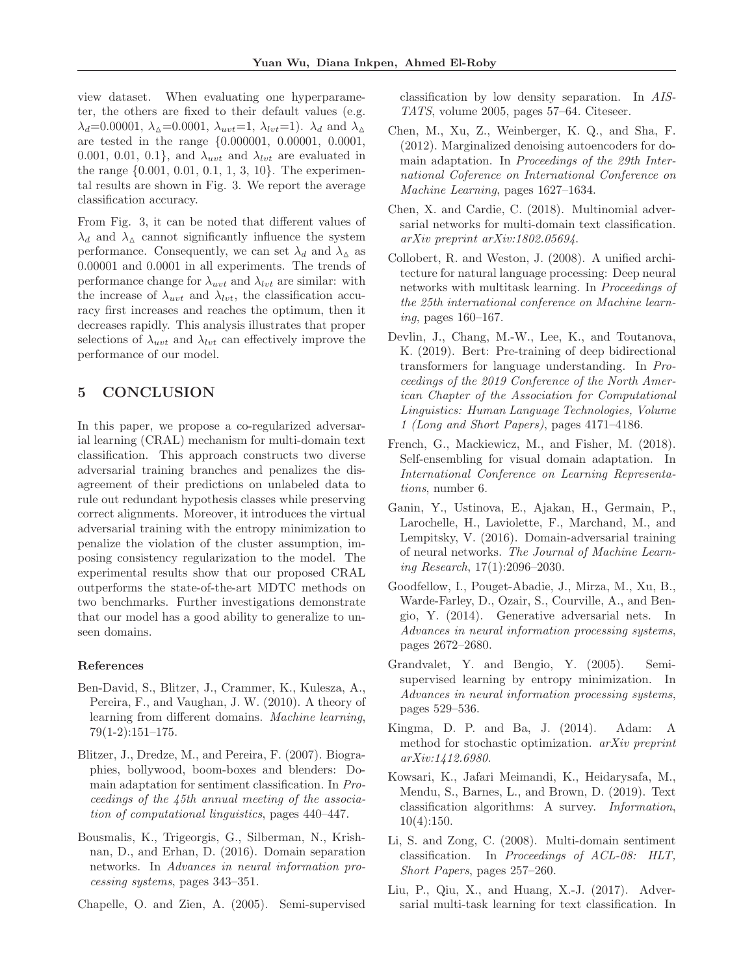view dataset. When evaluating one hyperparameter, the others are fixed to their default values (e.g.  $\lambda_d$ =0.00001,  $\lambda_{\Delta}$ =0.0001,  $\lambda_{uvt}$ =1,  $\lambda_{lvt}$ =1).  $\lambda_d$  and  $\lambda_{\Delta}$ are tested in the range {0.000001, 0.00001, 0.0001, 0.001, 0.01, 0.1}, and  $\lambda_{uvt}$  and  $\lambda_{lvt}$  are evaluated in the range {0.001, 0.01, 0.1, 1, 3, 10}. The experimental results are shown in Fig. 3. We report the average classification accuracy.

From Fig. 3, it can be noted that different values of  $\lambda_d$  and  $\lambda_{\Delta}$  cannot significantly influence the system performance. Consequently, we can set  $\lambda_d$  and  $\lambda_{\Delta}$  as 0.00001 and 0.0001 in all experiments. The trends of performance change for  $\lambda_{uvt}$  and  $\lambda_{lvt}$  are similar: with the increase of  $\lambda_{uvt}$  and  $\lambda_{lvt}$ , the classification accuracy first increases and reaches the optimum, then it decreases rapidly. This analysis illustrates that proper selections of  $\lambda_{uvt}$  and  $\lambda_{lvt}$  can effectively improve the performance of our model.

## **5 CONCLUSION**

In this paper, we propose a co-regularized adversarial learning (CRAL) mechanism for multi-domain text classification. This approach constructs two diverse adversarial training branches and penalizes the disagreement of their predictions on unlabeled data to rule out redundant hypothesis classes while preserving correct alignments. Moreover, it introduces the virtual adversarial training with the entropy minimization to penalize the violation of the cluster assumption, imposing consistency regularization to the model. The experimental results show that our proposed CRAL outperforms the state-of-the-art MDTC methods on two benchmarks. Further investigations demonstrate that our model has a good ability to generalize to unseen domains.

#### **References**

- Ben-David, S., Blitzer, J., Crammer, K., Kulesza, A., Pereira, F., and Vaughan, J. W. (2010). A theory of learning from different domains. Machine learning, 79(1-2):151–175.
- Blitzer, J., Dredze, M., and Pereira, F. (2007). Biographies, bollywood, boom-boxes and blenders: Domain adaptation for sentiment classification. In Proceedings of the 45th annual meeting of the association of computational linguistics, pages 440–447.
- Bousmalis, K., Trigeorgis, G., Silberman, N., Krishnan, D., and Erhan, D. (2016). Domain separation networks. In Advances in neural information processing systems, pages 343–351.
- Chapelle, O. and Zien, A. (2005). Semi-supervised

classification by low density separation. In AIS-TATS, volume 2005, pages 57–64. Citeseer.

- Chen, M., Xu, Z., Weinberger, K. Q., and Sha, F. (2012). Marginalized denoising autoencoders for domain adaptation. In Proceedings of the 29th International Coference on International Conference on Machine Learning, pages 1627–1634.
- Chen, X. and Cardie, C. (2018). Multinomial adversarial networks for multi-domain text classification. arXiv preprint arXiv:1802.05694.
- Collobert, R. and Weston, J. (2008). A unified architecture for natural language processing: Deep neural networks with multitask learning. In Proceedings of the 25th international conference on Machine learning, pages 160–167.
- Devlin, J., Chang, M.-W., Lee, K., and Toutanova, K. (2019). Bert: Pre-training of deep bidirectional transformers for language understanding. In Proceedings of the 2019 Conference of the North American Chapter of the Association for Computational Linguistics: Human Language Technologies, Volume 1 (Long and Short Papers), pages 4171–4186.
- French, G., Mackiewicz, M., and Fisher, M. (2018). Self-ensembling for visual domain adaptation. In International Conference on Learning Representations, number 6.
- Ganin, Y., Ustinova, E., Ajakan, H., Germain, P., Larochelle, H., Laviolette, F., Marchand, M., and Lempitsky, V. (2016). Domain-adversarial training of neural networks. The Journal of Machine Learning Research, 17(1):2096–2030.
- Goodfellow, I., Pouget-Abadie, J., Mirza, M., Xu, B., Warde-Farley, D., Ozair, S., Courville, A., and Bengio, Y. (2014). Generative adversarial nets. In Advances in neural information processing systems, pages 2672–2680.
- Grandvalet, Y. and Bengio, Y. (2005). Semisupervised learning by entropy minimization. In Advances in neural information processing systems, pages 529–536.
- Kingma, D. P. and Ba, J. (2014). Adam: A method for stochastic optimization. arXiv preprint arXiv:1412.6980.
- Kowsari, K., Jafari Meimandi, K., Heidarysafa, M., Mendu, S., Barnes, L., and Brown, D. (2019). Text classification algorithms: A survey. Information,  $10(4):150.$
- Li, S. and Zong, C. (2008). Multi-domain sentiment classification. In Proceedings of ACL-08: HLT, Short Papers, pages 257–260.
- Liu, P., Qiu, X., and Huang, X.-J. (2017). Adversarial multi-task learning for text classification. In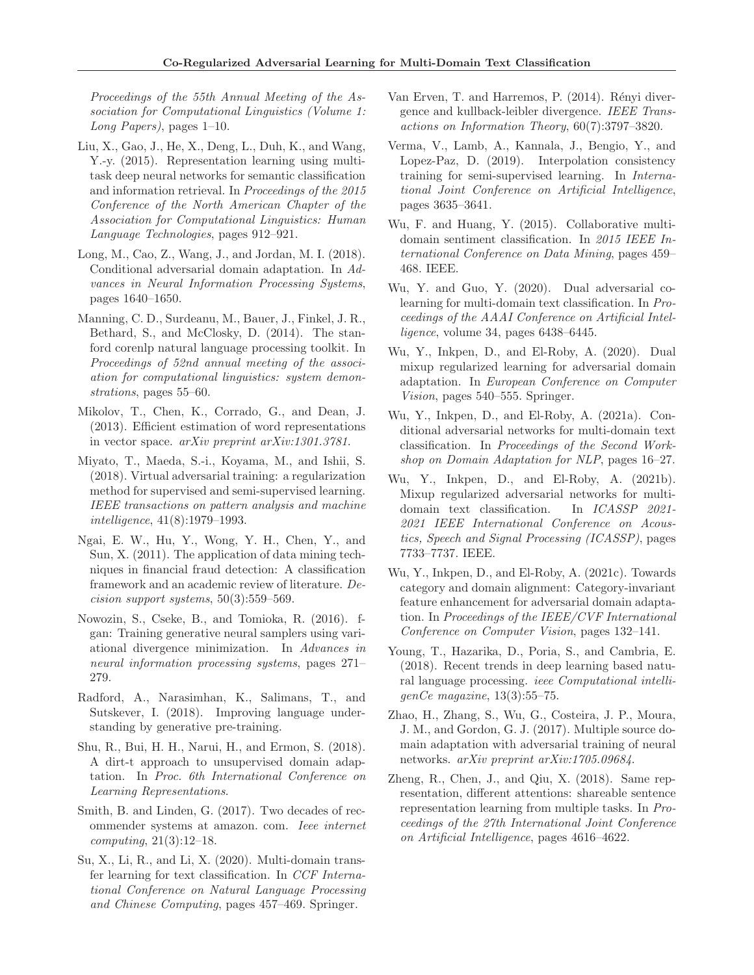Proceedings of the 55th Annual Meeting of the Association for Computational Linguistics (Volume 1: Long Papers), pages  $1-10$ .

- Liu, X., Gao, J., He, X., Deng, L., Duh, K., and Wang, Y.-y. (2015). Representation learning using multitask deep neural networks for semantic classification and information retrieval. In Proceedings of the 2015 Conference of the North American Chapter of the Association for Computational Linguistics: Human Language Technologies, pages 912–921.
- Long, M., Cao, Z., Wang, J., and Jordan, M. I. (2018). Conditional adversarial domain adaptation. In Advances in Neural Information Processing Systems, pages 1640–1650.
- Manning, C. D., Surdeanu, M., Bauer, J., Finkel, J. R., Bethard, S., and McClosky, D. (2014). The stanford corenlp natural language processing toolkit. In Proceedings of 52nd annual meeting of the association for computational linguistics: system demonstrations, pages 55–60.
- Mikolov, T., Chen, K., Corrado, G., and Dean, J. (2013). Efficient estimation of word representations in vector space. arXiv preprint arXiv:1301.3781.
- Miyato, T., Maeda, S.-i., Koyama, M., and Ishii, S. (2018). Virtual adversarial training: a regularization method for supervised and semi-supervised learning. IEEE transactions on pattern analysis and machine intelligence, 41(8):1979–1993.
- Ngai, E. W., Hu, Y., Wong, Y. H., Chen, Y., and Sun, X. (2011). The application of data mining techniques in financial fraud detection: A classification framework and an academic review of literature. Decision support systems, 50(3):559–569.
- Nowozin, S., Cseke, B., and Tomioka, R. (2016). fgan: Training generative neural samplers using variational divergence minimization. In Advances in neural information processing systems, pages 271– 279.
- Radford, A., Narasimhan, K., Salimans, T., and Sutskever, I. (2018). Improving language understanding by generative pre-training.
- Shu, R., Bui, H. H., Narui, H., and Ermon, S. (2018). A dirt-t approach to unsupervised domain adaptation. In Proc. 6th International Conference on Learning Representations.
- Smith, B. and Linden, G. (2017). Two decades of recommender systems at amazon. com. Ieee internet  $computing, 21(3):12–18.$
- Su, X., Li, R., and Li, X. (2020). Multi-domain transfer learning for text classification. In CCF International Conference on Natural Language Processing and Chinese Computing, pages 457–469. Springer.
- Van Erven, T. and Harremos, P. (2014). Rényi divergence and kullback-leibler divergence. IEEE Transactions on Information Theory, 60(7):3797–3820.
- Verma, V., Lamb, A., Kannala, J., Bengio, Y., and Lopez-Paz, D. (2019). Interpolation consistency training for semi-supervised learning. In International Joint Conference on Artificial Intelligence, pages 3635–3641.
- Wu, F. and Huang, Y. (2015). Collaborative multidomain sentiment classification. In 2015 IEEE International Conference on Data Mining, pages 459– 468. IEEE.
- Wu, Y. and Guo, Y. (2020). Dual adversarial colearning for multi-domain text classification. In Proceedings of the AAAI Conference on Artificial Intelligence, volume 34, pages 6438–6445.
- Wu, Y., Inkpen, D., and El-Roby, A. (2020). Dual mixup regularized learning for adversarial domain adaptation. In European Conference on Computer Vision, pages 540–555. Springer.
- Wu, Y., Inkpen, D., and El-Roby, A. (2021a). Conditional adversarial networks for multi-domain text classification. In Proceedings of the Second Workshop on Domain Adaptation for NLP, pages 16–27.
- Wu, Y., Inkpen, D., and El-Roby, A. (2021b). Mixup regularized adversarial networks for multidomain text classification. In ICASSP 2021- 2021 IEEE International Conference on Acoustics, Speech and Signal Processing (ICASSP), pages 7733–7737. IEEE.
- Wu, Y., Inkpen, D., and El-Roby, A. (2021c). Towards category and domain alignment: Category-invariant feature enhancement for adversarial domain adaptation. In Proceedings of the IEEE/CVF International Conference on Computer Vision, pages 132–141.
- Young, T., Hazarika, D., Poria, S., and Cambria, E. (2018). Recent trends in deep learning based natural language processing. ieee Computational intelligenCe magazine, 13(3):55–75.
- Zhao, H., Zhang, S., Wu, G., Costeira, J. P., Moura, J. M., and Gordon, G. J. (2017). Multiple source domain adaptation with adversarial training of neural networks. arXiv preprint arXiv:1705.09684.
- Zheng, R., Chen, J., and Qiu, X. (2018). Same representation, different attentions: shareable sentence representation learning from multiple tasks. In Proceedings of the 27th International Joint Conference on Artificial Intelligence, pages 4616–4622.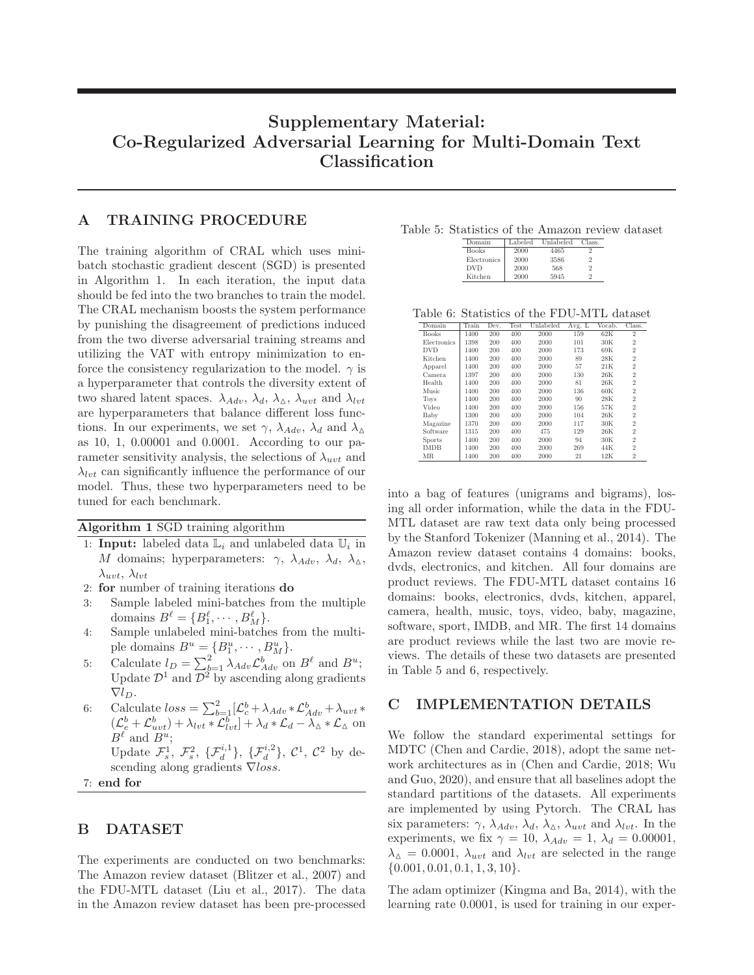# **Supplementary Material: Co-Regularized Adversarial Learning for Multi-Domain Text Classification**

## **A TRAINING PROCEDURE**

The training algorithm of CRAL which uses minibatch stochastic gradient descent (SGD) is presented in Algorithm 1. In each iteration, the input data should be fed into the two branches to train the model. The CRAL mechanism boosts the system performance by punishing the disagreement of predictions induced from the two diverse adversarial training streams and utilizing the VAT with entropy minimization to enforce the consistency regularization to the model.  $\gamma$  is a hyperparameter that controls the diversity extent of two shared latent spaces.  $\lambda_{Adv}$ ,  $\lambda_d$ ,  $\lambda_{\Delta}$ ,  $\lambda_{uvt}$  and  $\lambda_{lvt}$ are hyperparameters that balance different loss functions. In our experiments, we set  $\gamma$ ,  $\lambda_{Ad}$ ,  $\lambda_{d}$  and  $\lambda_{\Lambda}$ as 10, 1, 0.00001 and 0.0001. According to our parameter sensitivity analysis, the selections of  $\lambda_{uvt}$  and  $\lambda_{\text{tot}}$  can significantly influence the performance of our model. Thus, these two hyperparameters need to be tuned for each benchmark.

**Algorithm 1** SGD training algorithm

- 1: **Input:** labeled data  $L_i$  and unlabeled data  $U_i$  in M domains; hyperparameters:  $\gamma$ ,  $\lambda_{Adv}$ ,  $\lambda_d$ ,  $\lambda_{\Delta}$ ,  $\lambda_{uvt}, \lambda_{lvt}$
- 2: **for** number of training iterations **do**
- 3: Sample labeled mini-batches from the multiple domains  $B^{\ell} = \{B_1^{\ell}, \cdots, B_M^{\ell}\}.$
- 4: Sample unlabeled mini-batches from the multiple domains  $B^u = \{B_1^u, \cdots, B_M^u\}.$
- 5: Calculate  $l_D = \sum_{b=1}^{2} \lambda_{Adv} \mathcal{L}_{Adv}^b$  on  $B^{\ell}$  and  $B^u$ ; Update  $\mathcal{D}^1$  and  $\mathcal{D}^2$  by ascending along gradients  $\nabla l_D$ .
- 6: Calculate  $loss = \sum_{b=1}^{2} [\mathcal{L}_c^b + \lambda_{Adv} * \mathcal{L}_{Adv}^b + \lambda_{uvt} *$  $(\mathcal{L}_{e}^{b} + \mathcal{L}_{uvt}^{b}) + \lambda_{lvt} * \mathcal{L}_{lvt}^{b} + \lambda_d * \mathcal{L}_d - \lambda_{\Delta} * \mathcal{L}_{\Delta}$  on  $B^{\ell}$  and  $B^u$ ; Update  $\mathcal{F}_s^1$ ,  $\mathcal{F}_s^2$ ,  $\{\mathcal{F}_d^{i,1}\}, \{\mathcal{F}_d^{i,2}\}, \mathcal{C}^1, \mathcal{C}^2$  by de-

scending along gradients  $∇ loss$ .

7: **end for**

# **B DATASET**

The experiments are conducted on two benchmarks: The Amazon review dataset (Blitzer et al., 2007) and the FDU-MTL dataset (Liu et al., 2017). The data in the Amazon review dataset has been pre-processed

| Domain       | Labeled | Unlabeled | Class.        |
|--------------|---------|-----------|---------------|
| <b>Books</b> | 2000    | 4465      |               |
| Electronics  | 2000    | 3586      | $\mathcal{D}$ |
| <b>DVD</b>   | 2000    | 568       | 2             |
| Kitchen      | 2000    | 5945      | $\Omega$      |

Table 6: Statistics of the FDU-MTL dataset

| Train | Dev. | Test | Unlabeled | Avg. L | Vocab. | Class.         |
|-------|------|------|-----------|--------|--------|----------------|
| 1400  | 200  | 400  | 2000      | 159    | 62K    | $\overline{2}$ |
| 1398  | 200  | 400  | 2000      | 101    | 30K    | $\overline{2}$ |
| 1400  | 200  | 400  | 2000      | 173    | 69K    | $\overline{2}$ |
| 1400  | 200  | 400  | 2000      | 89     | 28K    | $\overline{2}$ |
| 1400  | 200  | 400  | 2000      | 57     | 21K    | $\overline{2}$ |
| 1397  | 200  | 400  | 2000      | 130    | 26K    | $\overline{2}$ |
| 1400  | 200  | 400  | 2000      | 81     | 26K    | $\overline{2}$ |
| 1400  | 200  | 400  | 2000      | 136    | 60K    | $\overline{2}$ |
| 1400  | 200  | 400  | 2000      | 90     | 28K    | $\overline{2}$ |
| 1400  | 200  | 400  | 2000      | 156    | 57K    | $\overline{2}$ |
| 1300  | 200  | 400  | 2000      | 104    | 26K    | $\overline{2}$ |
| 1370  | 200  | 400  | 2000      | 117    | 30K    | $\overline{2}$ |
| 1315  | 200  | 400  | 475       | 129    | 26K    | $\overline{2}$ |
| 1400  | 200  | 400  | 2000      | 94     | 30K    | $\overline{2}$ |
| 1400  | 200  | 400  | 2000      | 269    | 44K    | $\overline{2}$ |
| 1400  | 200  | 400  | 2000      | 21     | 12K    | $\overline{2}$ |
|       |      |      |           |        |        |                |

into a bag of features (unigrams and bigrams), losing all order information, while the data in the FDU-MTL dataset are raw text data only being processed by the Stanford Tokenizer (Manning et al., 2014). The Amazon review dataset contains 4 domains: books, dvds, electronics, and kitchen. All four domains are product reviews. The FDU-MTL dataset contains 16 domains: books, electronics, dvds, kitchen, apparel, camera, health, music, toys, video, baby, magazine, software, sport, IMDB, and MR. The first 14 domains are product reviews while the last two are movie reviews. The details of these two datasets are presented in Table 5 and 6, respectively.

### **C IMPLEMENTATION DETAILS**

We follow the standard experimental settings for MDTC (Chen and Cardie, 2018), adopt the same network architectures as in (Chen and Cardie, 2018; Wu and Guo, 2020), and ensure that all baselines adopt the standard partitions of the datasets. All experiments are implemented by using Pytorch. The CRAL has six parameters:  $\gamma$ ,  $\lambda_{Adv}$ ,  $\lambda_d$ ,  $\lambda_\Delta$ ,  $\lambda_{uvt}$  and  $\lambda_{lvt}$ . In the experiments, we fix  $\gamma = 10$ ,  $\lambda_{Adv} = 1$ ,  $\lambda_d = 0.00001$ ,  $\lambda_{\Delta} = 0.0001, \lambda_{uvt}$  and  $\lambda_{lvt}$  are selected in the range  $\{0.001, 0.01, 0.1, 1, 3, 10\}.$ 

The adam optimizer (Kingma and Ba, 2014), with the learning rate 0.0001, is used for training in our exper-